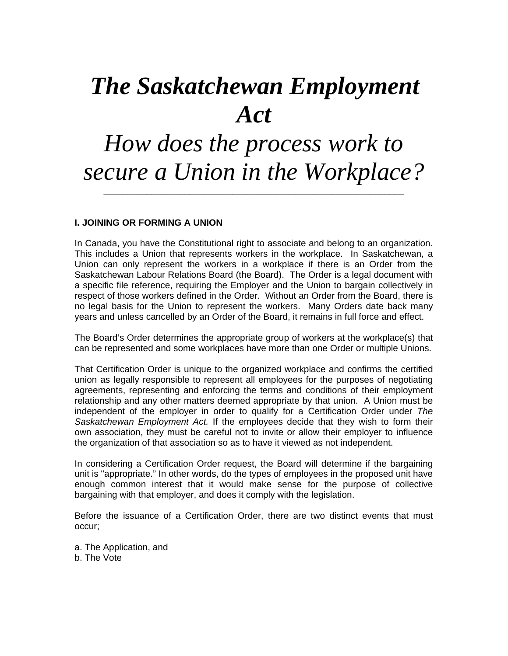# *The Saskatchewan Employment Act*

## *How does the process work to secure a Union in the Workplace?*

\_\_\_\_\_\_\_\_\_\_\_\_\_\_\_\_\_\_\_\_\_\_\_\_\_\_\_\_\_\_\_\_\_\_\_\_\_\_\_\_\_\_\_\_\_\_\_\_\_\_\_\_\_\_\_\_\_\_\_\_\_\_\_

#### **I. JOINING OR FORMING A UNION**

In Canada, you have the Constitutional right to associate and belong to an organization. This includes a Union that represents workers in the workplace. In Saskatchewan, a Union can only represent the workers in a workplace if there is an Order from the Saskatchewan Labour Relations Board (the Board). The Order is a legal document with a specific file reference, requiring the Employer and the Union to bargain collectively in respect of those workers defined in the Order. Without an Order from the Board, there is no legal basis for the Union to represent the workers. Many Orders date back many years and unless cancelled by an Order of the Board, it remains in full force and effect.

The Board's Order determines the appropriate group of workers at the workplace(s) that can be represented and some workplaces have more than one Order or multiple Unions.

That Certification Order is unique to the organized workplace and confirms the certified union as legally responsible to represent all employees for the purposes of negotiating agreements, representing and enforcing the terms and conditions of their employment relationship and any other matters deemed appropriate by that union. A Union must be independent of the employer in order to qualify for a Certification Order under *The Saskatchewan Employment Act.* If the employees decide that they wish to form their own association, they must be careful not to invite or allow their employer to influence the organization of that association so as to have it viewed as not independent.

In considering a Certification Order request, the Board will determine if the bargaining unit is "appropriate." In other words, do the types of employees in the proposed unit have enough common interest that it would make sense for the purpose of collective bargaining with that employer, and does it comply with the legislation.

Before the issuance of a Certification Order, there are two distinct events that must occur;

a. The Application, and b. The Vote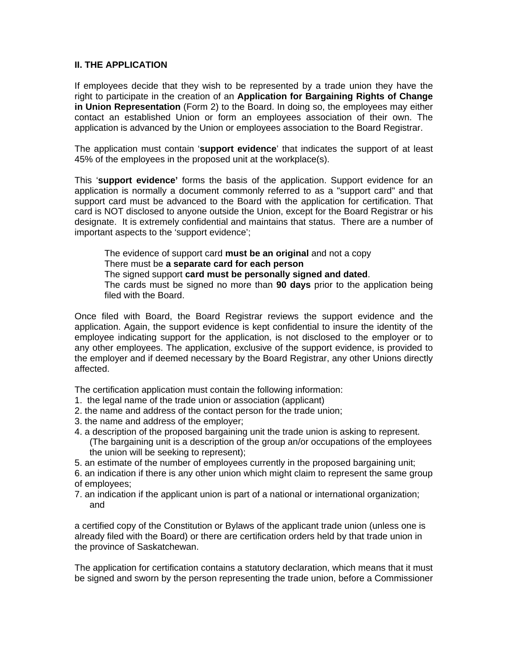#### **II. THE APPLICATION**

If employees decide that they wish to be represented by a trade union they have the right to participate in the creation of an **Application for Bargaining Rights of Change in Union Representation** (Form 2) to the Board. In doing so, the employees may either contact an established Union or form an employees association of their own. The application is advanced by the Union or employees association to the Board Registrar.

The application must contain '**support evidence**' that indicates the support of at least 45% of the employees in the proposed unit at the workplace(s).

This '**support evidence'** forms the basis of the application. Support evidence for an application is normally a document commonly referred to as a "support card" and that support card must be advanced to the Board with the application for certification. That card is NOT disclosed to anyone outside the Union, except for the Board Registrar or his designate. It is extremely confidential and maintains that status. There are a number of important aspects to the 'support evidence';

The evidence of support card **must be an original** and not a copy

There must be **a separate card for each person**

The signed support **card must be personally signed and dated**.

The cards must be signed no more than **90 days** prior to the application being filed with the Board.

Once filed with Board, the Board Registrar reviews the support evidence and the application. Again, the support evidence is kept confidential to insure the identity of the employee indicating support for the application, is not disclosed to the employer or to any other employees. The application, exclusive of the support evidence, is provided to the employer and if deemed necessary by the Board Registrar, any other Unions directly affected.

The certification application must contain the following information:

- 1. the legal name of the trade union or association (applicant)
- 2. the name and address of the contact person for the trade union;
- 3. the name and address of the employer;
- 4. a description of the proposed bargaining unit the trade union is asking to represent. (The bargaining unit is a description of the group an/or occupations of the employees the union will be seeking to represent);
- 5. an estimate of the number of employees currently in the proposed bargaining unit;

6. an indication if there is any other union which might claim to represent the same group of employees;

7. an indication if the applicant union is part of a national or international organization; and

a certified copy of the Constitution or Bylaws of the applicant trade union (unless one is already filed with the Board) or there are certification orders held by that trade union in the province of Saskatchewan.

The application for certification contains a statutory declaration, which means that it must be signed and sworn by the person representing the trade union, before a Commissioner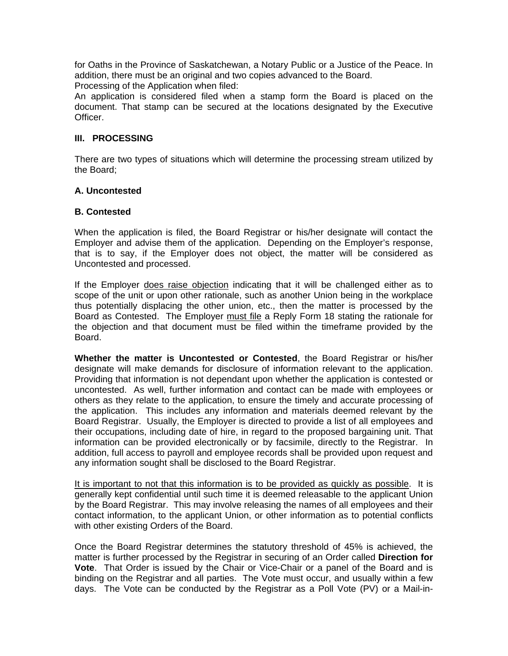for Oaths in the Province of Saskatchewan, a Notary Public or a Justice of the Peace. In addition, there must be an original and two copies advanced to the Board.

Processing of the Application when filed:

An application is considered filed when a stamp form the Board is placed on the document. That stamp can be secured at the locations designated by the Executive Officer.

### **III. PROCESSING**

There are two types of situations which will determine the processing stream utilized by the Board;

#### **A. Uncontested**

#### **B. Contested**

When the application is filed, the Board Registrar or his/her designate will contact the Employer and advise them of the application. Depending on the Employer's response, that is to say, if the Employer does not object, the matter will be considered as Uncontested and processed.

If the Employer does raise objection indicating that it will be challenged either as to scope of the unit or upon other rationale, such as another Union being in the workplace thus potentially displacing the other union, etc., then the matter is processed by the Board as Contested. The Employer must file a Reply Form 18 stating the rationale for the objection and that document must be filed within the timeframe provided by the Board.

**Whether the matter is Uncontested or Contested**, the Board Registrar or his/her designate will make demands for disclosure of information relevant to the application. Providing that information is not dependant upon whether the application is contested or uncontested. As well, further information and contact can be made with employees or others as they relate to the application, to ensure the timely and accurate processing of the application. This includes any information and materials deemed relevant by the Board Registrar. Usually, the Employer is directed to provide a list of all employees and their occupations, including date of hire, in regard to the proposed bargaining unit. That information can be provided electronically or by facsimile, directly to the Registrar. In addition, full access to payroll and employee records shall be provided upon request and any information sought shall be disclosed to the Board Registrar.

It is important to not that this information is to be provided as quickly as possible. It is generally kept confidential until such time it is deemed releasable to the applicant Union by the Board Registrar. This may involve releasing the names of all employees and their contact information, to the applicant Union, or other information as to potential conflicts with other existing Orders of the Board.

Once the Board Registrar determines the statutory threshold of 45% is achieved, the matter is further processed by the Registrar in securing of an Order called **Direction for Vote**. That Order is issued by the Chair or Vice-Chair or a panel of the Board and is binding on the Registrar and all parties. The Vote must occur, and usually within a few days. The Vote can be conducted by the Registrar as a Poll Vote (PV) or a Mail-in